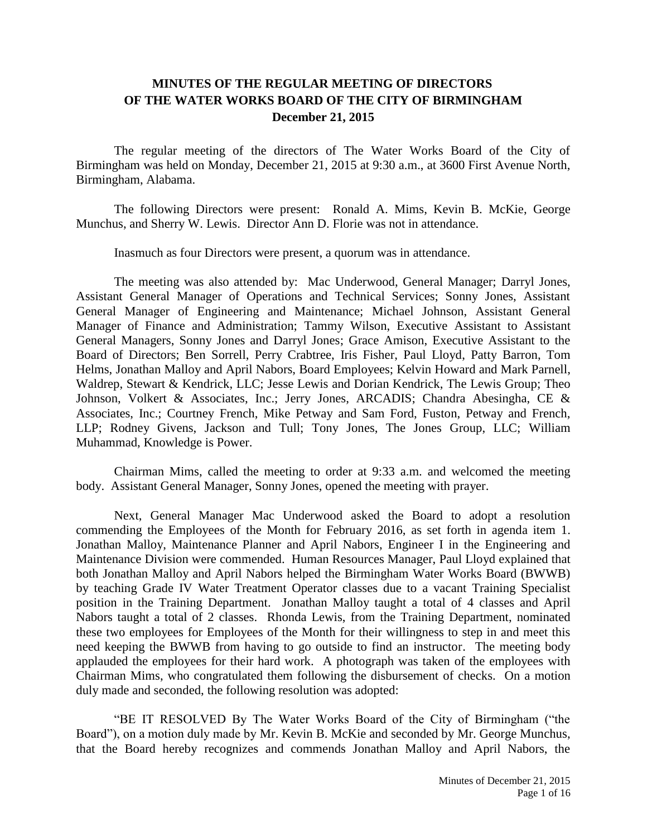## **MINUTES OF THE REGULAR MEETING OF DIRECTORS OF THE WATER WORKS BOARD OF THE CITY OF BIRMINGHAM December 21, 2015**

The regular meeting of the directors of The Water Works Board of the City of Birmingham was held on Monday, December 21, 2015 at 9:30 a.m., at 3600 First Avenue North, Birmingham, Alabama.

The following Directors were present: Ronald A. Mims, Kevin B. McKie, George Munchus, and Sherry W. Lewis. Director Ann D. Florie was not in attendance.

Inasmuch as four Directors were present, a quorum was in attendance.

The meeting was also attended by: Mac Underwood, General Manager; Darryl Jones, Assistant General Manager of Operations and Technical Services; Sonny Jones, Assistant General Manager of Engineering and Maintenance; Michael Johnson, Assistant General Manager of Finance and Administration; Tammy Wilson, Executive Assistant to Assistant General Managers, Sonny Jones and Darryl Jones; Grace Amison, Executive Assistant to the Board of Directors; Ben Sorrell, Perry Crabtree, Iris Fisher, Paul Lloyd, Patty Barron, Tom Helms, Jonathan Malloy and April Nabors, Board Employees; Kelvin Howard and Mark Parnell, Waldrep, Stewart & Kendrick, LLC; Jesse Lewis and Dorian Kendrick, The Lewis Group; Theo Johnson, Volkert & Associates, Inc.; Jerry Jones, ARCADIS; Chandra Abesingha, CE & Associates, Inc.; Courtney French, Mike Petway and Sam Ford, Fuston, Petway and French, LLP; Rodney Givens, Jackson and Tull; Tony Jones, The Jones Group, LLC; William Muhammad, Knowledge is Power.

Chairman Mims, called the meeting to order at 9:33 a.m. and welcomed the meeting body. Assistant General Manager, Sonny Jones, opened the meeting with prayer.

Next, General Manager Mac Underwood asked the Board to adopt a resolution commending the Employees of the Month for February 2016, as set forth in agenda item 1. Jonathan Malloy, Maintenance Planner and April Nabors, Engineer I in the Engineering and Maintenance Division were commended. Human Resources Manager, Paul Lloyd explained that both Jonathan Malloy and April Nabors helped the Birmingham Water Works Board (BWWB) by teaching Grade IV Water Treatment Operator classes due to a vacant Training Specialist position in the Training Department. Jonathan Malloy taught a total of 4 classes and April Nabors taught a total of 2 classes. Rhonda Lewis, from the Training Department, nominated these two employees for Employees of the Month for their willingness to step in and meet this need keeping the BWWB from having to go outside to find an instructor. The meeting body applauded the employees for their hard work. A photograph was taken of the employees with Chairman Mims, who congratulated them following the disbursement of checks. On a motion duly made and seconded, the following resolution was adopted:

"BE IT RESOLVED By The Water Works Board of the City of Birmingham ("the Board"), on a motion duly made by Mr. Kevin B. McKie and seconded by Mr. George Munchus, that the Board hereby recognizes and commends Jonathan Malloy and April Nabors, the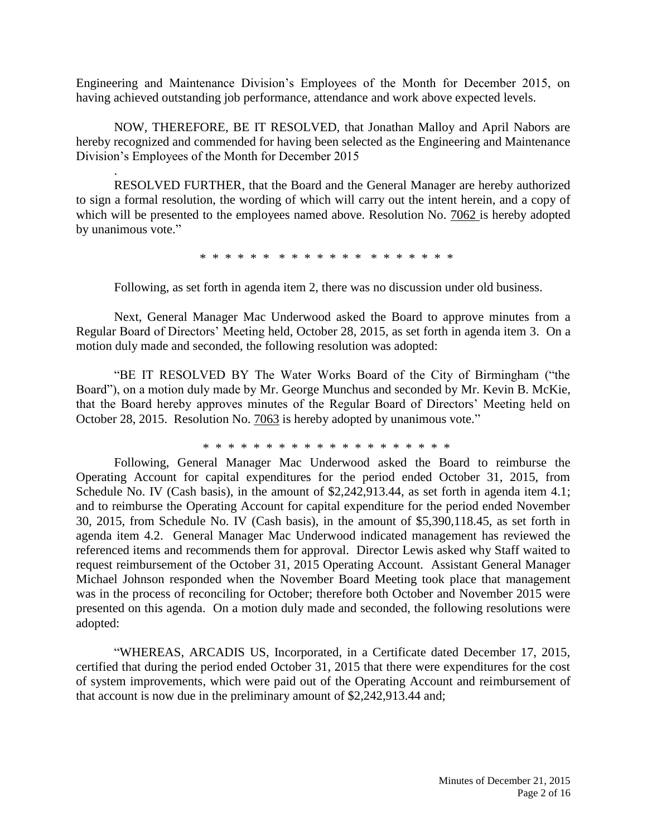Engineering and Maintenance Division's Employees of the Month for December 2015, on having achieved outstanding job performance, attendance and work above expected levels.

NOW, THEREFORE, BE IT RESOLVED, that Jonathan Malloy and April Nabors are hereby recognized and commended for having been selected as the Engineering and Maintenance Division's Employees of the Month for December 2015

.

RESOLVED FURTHER, that the Board and the General Manager are hereby authorized to sign a formal resolution, the wording of which will carry out the intent herein, and a copy of which will be presented to the employees named above. Resolution No. 7062 is hereby adopted by unanimous vote."

\* \* \* \* \* \* \* \* \* \* \* \* \* \* \* \* \* \* \*

Following, as set forth in agenda item 2, there was no discussion under old business.

Next, General Manager Mac Underwood asked the Board to approve minutes from a Regular Board of Directors' Meeting held, October 28, 2015, as set forth in agenda item 3. On a motion duly made and seconded, the following resolution was adopted:

"BE IT RESOLVED BY The Water Works Board of the City of Birmingham ("the Board"), on a motion duly made by Mr. George Munchus and seconded by Mr. Kevin B. McKie, that the Board hereby approves minutes of the Regular Board of Directors' Meeting held on October 28, 2015. Resolution No. 7063 is hereby adopted by unanimous vote."

\* \* \* \* \* \* \* \* \* \* \* \* \* \* \* \* \* \* \* \*

Following, General Manager Mac Underwood asked the Board to reimburse the Operating Account for capital expenditures for the period ended October 31, 2015, from Schedule No. IV (Cash basis), in the amount of \$2,242,913.44, as set forth in agenda item 4.1; and to reimburse the Operating Account for capital expenditure for the period ended November 30, 2015, from Schedule No. IV (Cash basis), in the amount of \$5,390,118.45, as set forth in agenda item 4.2. General Manager Mac Underwood indicated management has reviewed the referenced items and recommends them for approval. Director Lewis asked why Staff waited to request reimbursement of the October 31, 2015 Operating Account. Assistant General Manager Michael Johnson responded when the November Board Meeting took place that management was in the process of reconciling for October; therefore both October and November 2015 were presented on this agenda. On a motion duly made and seconded, the following resolutions were adopted:

"WHEREAS, ARCADIS US, Incorporated, in a Certificate dated December 17, 2015, certified that during the period ended October 31, 2015 that there were expenditures for the cost of system improvements, which were paid out of the Operating Account and reimbursement of that account is now due in the preliminary amount of \$2,242,913.44 and;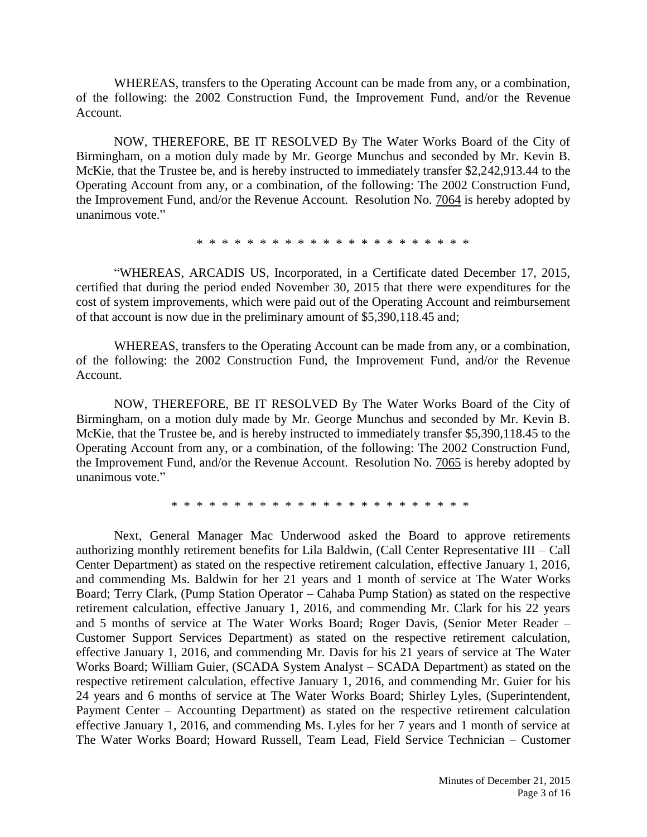WHEREAS, transfers to the Operating Account can be made from any, or a combination, of the following: the 2002 Construction Fund, the Improvement Fund, and/or the Revenue Account.

NOW, THEREFORE, BE IT RESOLVED By The Water Works Board of the City of Birmingham, on a motion duly made by Mr. George Munchus and seconded by Mr. Kevin B. McKie, that the Trustee be, and is hereby instructed to immediately transfer \$2,242,913.44 to the Operating Account from any, or a combination, of the following: The 2002 Construction Fund, the Improvement Fund, and/or the Revenue Account. Resolution No. 7064 is hereby adopted by unanimous vote."

\* \* \* \* \* \* \* \* \* \* \* \* \* \* \* \* \* \* \* \* \* \*

"WHEREAS, ARCADIS US, Incorporated, in a Certificate dated December 17, 2015, certified that during the period ended November 30, 2015 that there were expenditures for the cost of system improvements, which were paid out of the Operating Account and reimbursement of that account is now due in the preliminary amount of \$5,390,118.45 and;

WHEREAS, transfers to the Operating Account can be made from any, or a combination, of the following: the 2002 Construction Fund, the Improvement Fund, and/or the Revenue Account.

NOW, THEREFORE, BE IT RESOLVED By The Water Works Board of the City of Birmingham, on a motion duly made by Mr. George Munchus and seconded by Mr. Kevin B. McKie, that the Trustee be, and is hereby instructed to immediately transfer \$5,390,118.45 to the Operating Account from any, or a combination, of the following: The 2002 Construction Fund, the Improvement Fund, and/or the Revenue Account. Resolution No. 7065 is hereby adopted by unanimous vote."

\* \* \* \* \* \* \* \* \* \* \* \* \* \* \* \* \* \* \* \* \* \* \* \*

Next, General Manager Mac Underwood asked the Board to approve retirements authorizing monthly retirement benefits for Lila Baldwin, (Call Center Representative III – Call Center Department) as stated on the respective retirement calculation, effective January 1, 2016, and commending Ms. Baldwin for her 21 years and 1 month of service at The Water Works Board; Terry Clark, (Pump Station Operator – Cahaba Pump Station) as stated on the respective retirement calculation, effective January 1, 2016, and commending Mr. Clark for his 22 years and 5 months of service at The Water Works Board; Roger Davis, (Senior Meter Reader – Customer Support Services Department) as stated on the respective retirement calculation, effective January 1, 2016, and commending Mr. Davis for his 21 years of service at The Water Works Board; William Guier, (SCADA System Analyst – SCADA Department) as stated on the respective retirement calculation, effective January 1, 2016, and commending Mr. Guier for his 24 years and 6 months of service at The Water Works Board; Shirley Lyles, (Superintendent, Payment Center – Accounting Department) as stated on the respective retirement calculation effective January 1, 2016, and commending Ms. Lyles for her 7 years and 1 month of service at The Water Works Board; Howard Russell, Team Lead, Field Service Technician – Customer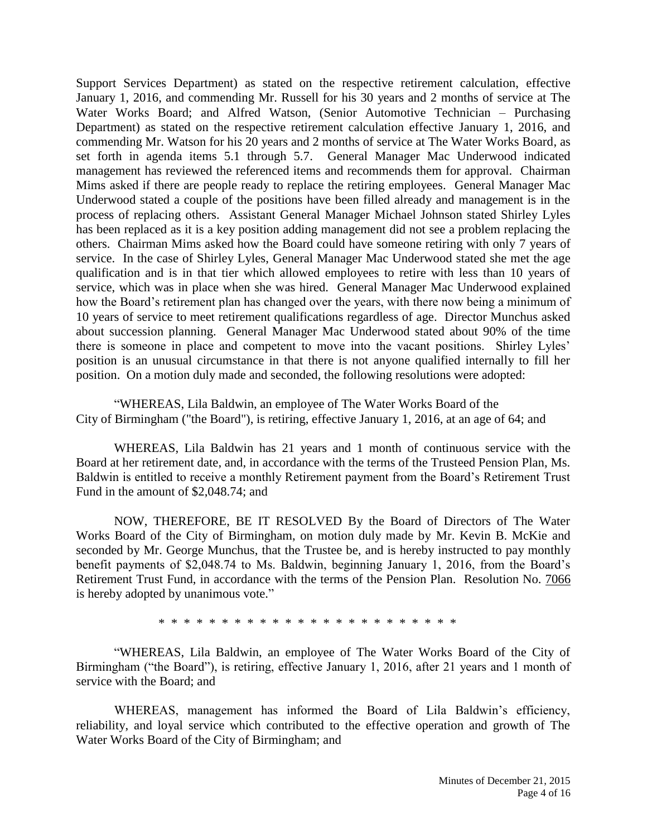Support Services Department) as stated on the respective retirement calculation, effective January 1, 2016, and commending Mr. Russell for his 30 years and 2 months of service at The Water Works Board; and Alfred Watson, (Senior Automotive Technician – Purchasing Department) as stated on the respective retirement calculation effective January 1, 2016, and commending Mr. Watson for his 20 years and 2 months of service at The Water Works Board, as set forth in agenda items 5.1 through 5.7. General Manager Mac Underwood indicated management has reviewed the referenced items and recommends them for approval. Chairman Mims asked if there are people ready to replace the retiring employees. General Manager Mac Underwood stated a couple of the positions have been filled already and management is in the process of replacing others. Assistant General Manager Michael Johnson stated Shirley Lyles has been replaced as it is a key position adding management did not see a problem replacing the others. Chairman Mims asked how the Board could have someone retiring with only 7 years of service. In the case of Shirley Lyles, General Manager Mac Underwood stated she met the age qualification and is in that tier which allowed employees to retire with less than 10 years of service, which was in place when she was hired. General Manager Mac Underwood explained how the Board's retirement plan has changed over the years, with there now being a minimum of 10 years of service to meet retirement qualifications regardless of age. Director Munchus asked about succession planning. General Manager Mac Underwood stated about 90% of the time there is someone in place and competent to move into the vacant positions. Shirley Lyles' position is an unusual circumstance in that there is not anyone qualified internally to fill her position. On a motion duly made and seconded, the following resolutions were adopted:

"WHEREAS, Lila Baldwin, an employee of The Water Works Board of the City of Birmingham ("the Board"), is retiring, effective January 1, 2016, at an age of 64; and

WHEREAS, Lila Baldwin has 21 years and 1 month of continuous service with the Board at her retirement date, and, in accordance with the terms of the Trusteed Pension Plan, Ms. Baldwin is entitled to receive a monthly Retirement payment from the Board's Retirement Trust Fund in the amount of \$2,048.74; and

NOW, THEREFORE, BE IT RESOLVED By the Board of Directors of The Water Works Board of the City of Birmingham, on motion duly made by Mr. Kevin B. McKie and seconded by Mr. George Munchus, that the Trustee be, and is hereby instructed to pay monthly benefit payments of \$2,048.74 to Ms. Baldwin, beginning January 1, 2016, from the Board's Retirement Trust Fund, in accordance with the terms of the Pension Plan. Resolution No. 7066 is hereby adopted by unanimous vote."

\* \* \* \* \* \* \* \* \* \* \* \* \* \* \* \* \* \* \* \* \* \* \* \*

"WHEREAS, Lila Baldwin, an employee of The Water Works Board of the City of Birmingham ("the Board"), is retiring, effective January 1, 2016, after 21 years and 1 month of service with the Board; and

WHEREAS, management has informed the Board of Lila Baldwin's efficiency, reliability, and loyal service which contributed to the effective operation and growth of The Water Works Board of the City of Birmingham; and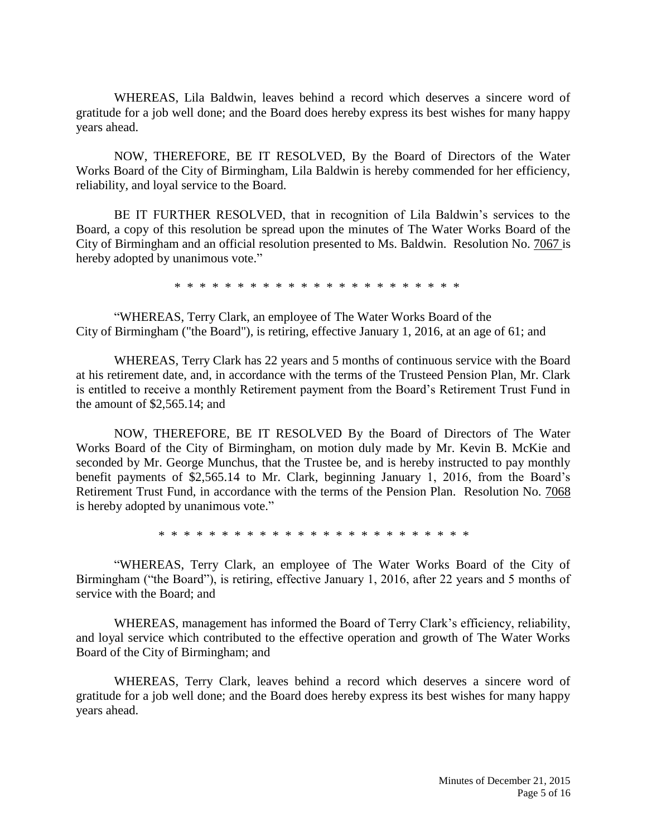WHEREAS, Lila Baldwin, leaves behind a record which deserves a sincere word of gratitude for a job well done; and the Board does hereby express its best wishes for many happy years ahead.

NOW, THEREFORE, BE IT RESOLVED, By the Board of Directors of the Water Works Board of the City of Birmingham, Lila Baldwin is hereby commended for her efficiency, reliability, and loyal service to the Board.

BE IT FURTHER RESOLVED, that in recognition of Lila Baldwin's services to the Board, a copy of this resolution be spread upon the minutes of The Water Works Board of the City of Birmingham and an official resolution presented to Ms. Baldwin. Resolution No. 7067 is hereby adopted by unanimous vote."

\* \* \* \* \* \* \* \* \* \* \* \* \* \* \* \* \* \* \* \* \* \* \*

"WHEREAS, Terry Clark, an employee of The Water Works Board of the City of Birmingham ("the Board"), is retiring, effective January 1, 2016, at an age of 61; and

WHEREAS, Terry Clark has 22 years and 5 months of continuous service with the Board at his retirement date, and, in accordance with the terms of the Trusteed Pension Plan, Mr. Clark is entitled to receive a monthly Retirement payment from the Board's Retirement Trust Fund in the amount of \$2,565.14; and

NOW, THEREFORE, BE IT RESOLVED By the Board of Directors of The Water Works Board of the City of Birmingham, on motion duly made by Mr. Kevin B. McKie and seconded by Mr. George Munchus, that the Trustee be, and is hereby instructed to pay monthly benefit payments of \$2,565.14 to Mr. Clark, beginning January 1, 2016, from the Board's Retirement Trust Fund, in accordance with the terms of the Pension Plan. Resolution No. 7068 is hereby adopted by unanimous vote."

\* \* \* \* \* \* \* \* \* \* \* \* \* \* \* \* \* \* \* \* \* \* \* \* \*

"WHEREAS, Terry Clark, an employee of The Water Works Board of the City of Birmingham ("the Board"), is retiring, effective January 1, 2016, after 22 years and 5 months of service with the Board; and

WHEREAS, management has informed the Board of Terry Clark's efficiency, reliability, and loyal service which contributed to the effective operation and growth of The Water Works Board of the City of Birmingham; and

WHEREAS, Terry Clark, leaves behind a record which deserves a sincere word of gratitude for a job well done; and the Board does hereby express its best wishes for many happy years ahead.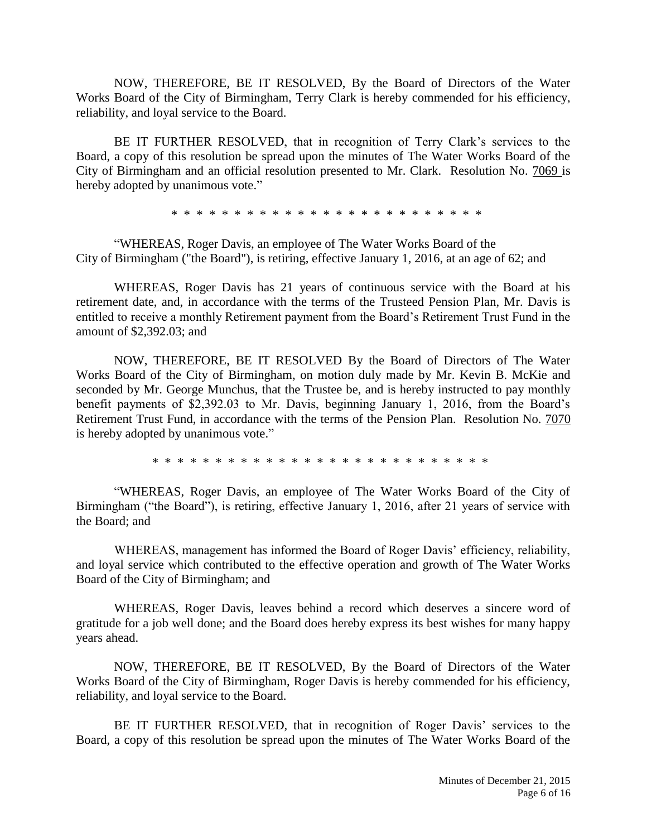NOW, THEREFORE, BE IT RESOLVED, By the Board of Directors of the Water Works Board of the City of Birmingham, Terry Clark is hereby commended for his efficiency, reliability, and loyal service to the Board.

BE IT FURTHER RESOLVED, that in recognition of Terry Clark's services to the Board, a copy of this resolution be spread upon the minutes of The Water Works Board of the City of Birmingham and an official resolution presented to Mr. Clark. Resolution No. 7069 is hereby adopted by unanimous vote."

\* \* \* \* \* \* \* \* \* \* \* \* \* \* \* \* \* \* \* \* \* \* \* \* \*

"WHEREAS, Roger Davis, an employee of The Water Works Board of the City of Birmingham ("the Board"), is retiring, effective January 1, 2016, at an age of 62; and

WHEREAS, Roger Davis has 21 years of continuous service with the Board at his retirement date, and, in accordance with the terms of the Trusteed Pension Plan, Mr. Davis is entitled to receive a monthly Retirement payment from the Board's Retirement Trust Fund in the amount of \$2,392.03; and

NOW, THEREFORE, BE IT RESOLVED By the Board of Directors of The Water Works Board of the City of Birmingham, on motion duly made by Mr. Kevin B. McKie and seconded by Mr. George Munchus, that the Trustee be, and is hereby instructed to pay monthly benefit payments of \$2,392.03 to Mr. Davis, beginning January 1, 2016, from the Board's Retirement Trust Fund, in accordance with the terms of the Pension Plan. Resolution No. 7070 is hereby adopted by unanimous vote."

\* \* \* \* \* \* \* \* \* \* \* \* \* \* \* \* \* \* \* \* \* \* \* \* \* \* \*

"WHEREAS, Roger Davis, an employee of The Water Works Board of the City of Birmingham ("the Board"), is retiring, effective January 1, 2016, after 21 years of service with the Board; and

WHEREAS, management has informed the Board of Roger Davis' efficiency, reliability, and loyal service which contributed to the effective operation and growth of The Water Works Board of the City of Birmingham; and

WHEREAS, Roger Davis, leaves behind a record which deserves a sincere word of gratitude for a job well done; and the Board does hereby express its best wishes for many happy years ahead.

NOW, THEREFORE, BE IT RESOLVED, By the Board of Directors of the Water Works Board of the City of Birmingham, Roger Davis is hereby commended for his efficiency, reliability, and loyal service to the Board.

BE IT FURTHER RESOLVED, that in recognition of Roger Davis' services to the Board, a copy of this resolution be spread upon the minutes of The Water Works Board of the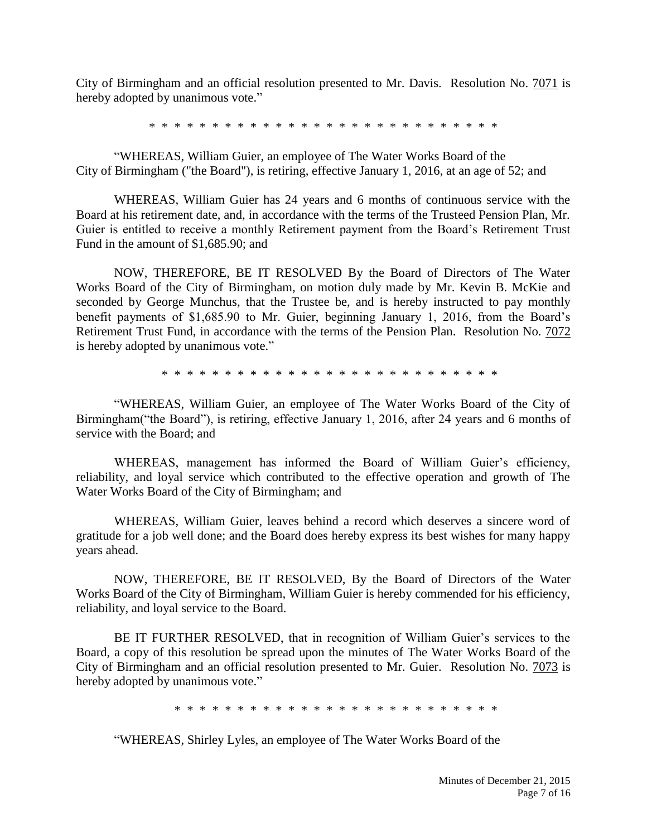City of Birmingham and an official resolution presented to Mr. Davis. Resolution No. 7071 is hereby adopted by unanimous vote."

\* \* \* \* \* \* \* \* \* \* \* \* \* \* \* \* \* \* \* \* \* \* \* \* \* \* \* \*

"WHEREAS, William Guier, an employee of The Water Works Board of the City of Birmingham ("the Board"), is retiring, effective January 1, 2016, at an age of 52; and

WHEREAS, William Guier has 24 years and 6 months of continuous service with the Board at his retirement date, and, in accordance with the terms of the Trusteed Pension Plan, Mr. Guier is entitled to receive a monthly Retirement payment from the Board's Retirement Trust Fund in the amount of \$1,685.90; and

NOW, THEREFORE, BE IT RESOLVED By the Board of Directors of The Water Works Board of the City of Birmingham, on motion duly made by Mr. Kevin B. McKie and seconded by George Munchus, that the Trustee be, and is hereby instructed to pay monthly benefit payments of \$1,685.90 to Mr. Guier, beginning January 1, 2016, from the Board's Retirement Trust Fund, in accordance with the terms of the Pension Plan. Resolution No. 7072 is hereby adopted by unanimous vote."

\* \* \* \* \* \* \* \* \* \* \* \* \* \* \* \* \* \* \* \* \* \* \* \* \* \* \*

"WHEREAS, William Guier, an employee of The Water Works Board of the City of Birmingham("the Board"), is retiring, effective January 1, 2016, after 24 years and 6 months of service with the Board; and

WHEREAS, management has informed the Board of William Guier's efficiency, reliability, and loyal service which contributed to the effective operation and growth of The Water Works Board of the City of Birmingham; and

WHEREAS, William Guier, leaves behind a record which deserves a sincere word of gratitude for a job well done; and the Board does hereby express its best wishes for many happy years ahead.

NOW, THEREFORE, BE IT RESOLVED, By the Board of Directors of the Water Works Board of the City of Birmingham, William Guier is hereby commended for his efficiency, reliability, and loyal service to the Board.

BE IT FURTHER RESOLVED, that in recognition of William Guier's services to the Board, a copy of this resolution be spread upon the minutes of The Water Works Board of the City of Birmingham and an official resolution presented to Mr. Guier. Resolution No. 7073 is hereby adopted by unanimous vote."

\* \* \* \* \* \* \* \* \* \* \* \* \* \* \* \* \* \* \* \* \* \* \* \* \* \*

"WHEREAS, Shirley Lyles, an employee of The Water Works Board of the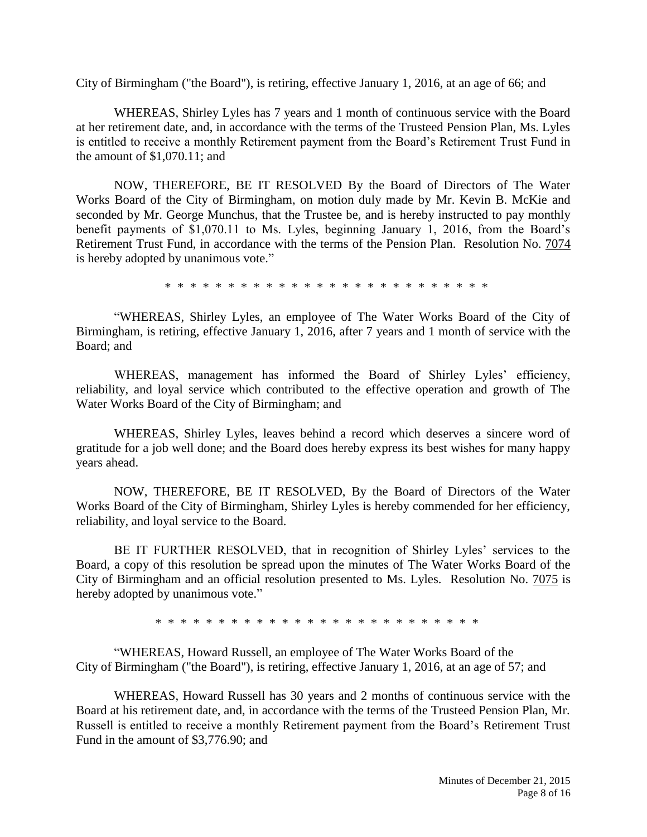City of Birmingham ("the Board"), is retiring, effective January 1, 2016, at an age of 66; and

WHEREAS, Shirley Lyles has 7 years and 1 month of continuous service with the Board at her retirement date, and, in accordance with the terms of the Trusteed Pension Plan, Ms. Lyles is entitled to receive a monthly Retirement payment from the Board's Retirement Trust Fund in the amount of \$1,070.11; and

NOW, THEREFORE, BE IT RESOLVED By the Board of Directors of The Water Works Board of the City of Birmingham, on motion duly made by Mr. Kevin B. McKie and seconded by Mr. George Munchus, that the Trustee be, and is hereby instructed to pay monthly benefit payments of \$1,070.11 to Ms. Lyles, beginning January 1, 2016, from the Board's Retirement Trust Fund, in accordance with the terms of the Pension Plan. Resolution No. 7074 is hereby adopted by unanimous vote."

\* \* \* \* \* \* \* \* \* \* \* \* \* \* \* \* \* \* \* \* \* \* \* \* \* \*

"WHEREAS, Shirley Lyles, an employee of The Water Works Board of the City of Birmingham, is retiring, effective January 1, 2016, after 7 years and 1 month of service with the Board; and

WHEREAS, management has informed the Board of Shirley Lyles' efficiency, reliability, and loyal service which contributed to the effective operation and growth of The Water Works Board of the City of Birmingham; and

WHEREAS, Shirley Lyles, leaves behind a record which deserves a sincere word of gratitude for a job well done; and the Board does hereby express its best wishes for many happy years ahead.

NOW, THEREFORE, BE IT RESOLVED, By the Board of Directors of the Water Works Board of the City of Birmingham, Shirley Lyles is hereby commended for her efficiency, reliability, and loyal service to the Board.

BE IT FURTHER RESOLVED, that in recognition of Shirley Lyles' services to the Board, a copy of this resolution be spread upon the minutes of The Water Works Board of the City of Birmingham and an official resolution presented to Ms. Lyles. Resolution No. 7075 is hereby adopted by unanimous vote."

\* \* \* \* \* \* \* \* \* \* \* \* \* \* \* \* \* \* \* \* \* \* \* \* \* \*

"WHEREAS, Howard Russell, an employee of The Water Works Board of the City of Birmingham ("the Board"), is retiring, effective January 1, 2016, at an age of 57; and

WHEREAS, Howard Russell has 30 years and 2 months of continuous service with the Board at his retirement date, and, in accordance with the terms of the Trusteed Pension Plan, Mr. Russell is entitled to receive a monthly Retirement payment from the Board's Retirement Trust Fund in the amount of \$3,776.90; and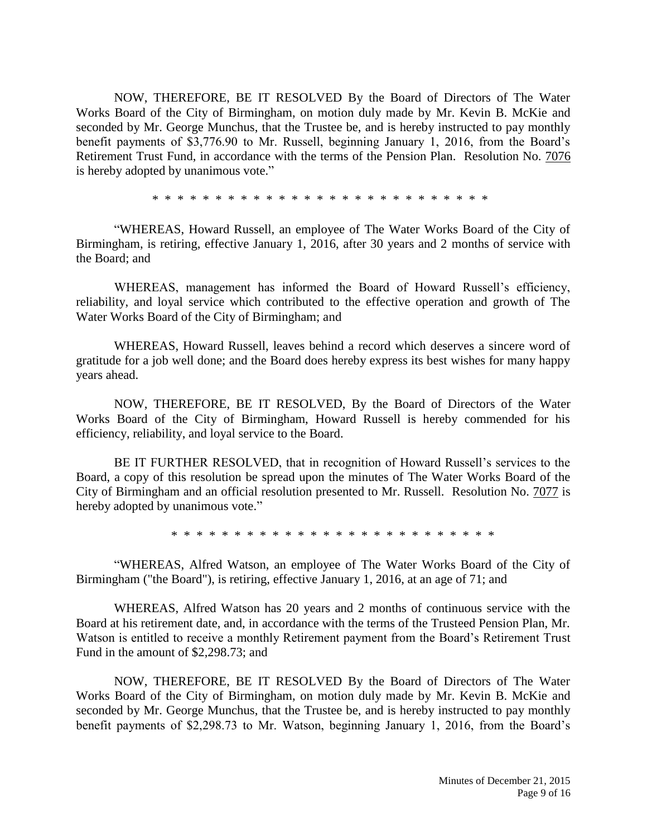NOW, THEREFORE, BE IT RESOLVED By the Board of Directors of The Water Works Board of the City of Birmingham, on motion duly made by Mr. Kevin B. McKie and seconded by Mr. George Munchus, that the Trustee be, and is hereby instructed to pay monthly benefit payments of \$3,776.90 to Mr. Russell, beginning January 1, 2016, from the Board's Retirement Trust Fund, in accordance with the terms of the Pension Plan. Resolution No. 7076 is hereby adopted by unanimous vote."

\* \* \* \* \* \* \* \* \* \* \* \* \* \* \* \* \* \* \* \* \* \* \* \* \* \* \*

"WHEREAS, Howard Russell, an employee of The Water Works Board of the City of Birmingham, is retiring, effective January 1, 2016, after 30 years and 2 months of service with the Board; and

WHEREAS, management has informed the Board of Howard Russell's efficiency, reliability, and loyal service which contributed to the effective operation and growth of The Water Works Board of the City of Birmingham; and

WHEREAS, Howard Russell, leaves behind a record which deserves a sincere word of gratitude for a job well done; and the Board does hereby express its best wishes for many happy years ahead.

NOW, THEREFORE, BE IT RESOLVED, By the Board of Directors of the Water Works Board of the City of Birmingham, Howard Russell is hereby commended for his efficiency, reliability, and loyal service to the Board.

BE IT FURTHER RESOLVED, that in recognition of Howard Russell's services to the Board, a copy of this resolution be spread upon the minutes of The Water Works Board of the City of Birmingham and an official resolution presented to Mr. Russell. Resolution No. 7077 is hereby adopted by unanimous vote."

\* \* \* \* \* \* \* \* \* \* \* \* \* \* \* \* \* \* \* \* \* \* \* \* \* \*

"WHEREAS, Alfred Watson, an employee of The Water Works Board of the City of Birmingham ("the Board"), is retiring, effective January 1, 2016, at an age of 71; and

WHEREAS, Alfred Watson has 20 years and 2 months of continuous service with the Board at his retirement date, and, in accordance with the terms of the Trusteed Pension Plan, Mr. Watson is entitled to receive a monthly Retirement payment from the Board's Retirement Trust Fund in the amount of \$2,298.73; and

NOW, THEREFORE, BE IT RESOLVED By the Board of Directors of The Water Works Board of the City of Birmingham, on motion duly made by Mr. Kevin B. McKie and seconded by Mr. George Munchus, that the Trustee be, and is hereby instructed to pay monthly benefit payments of \$2,298.73 to Mr. Watson, beginning January 1, 2016, from the Board's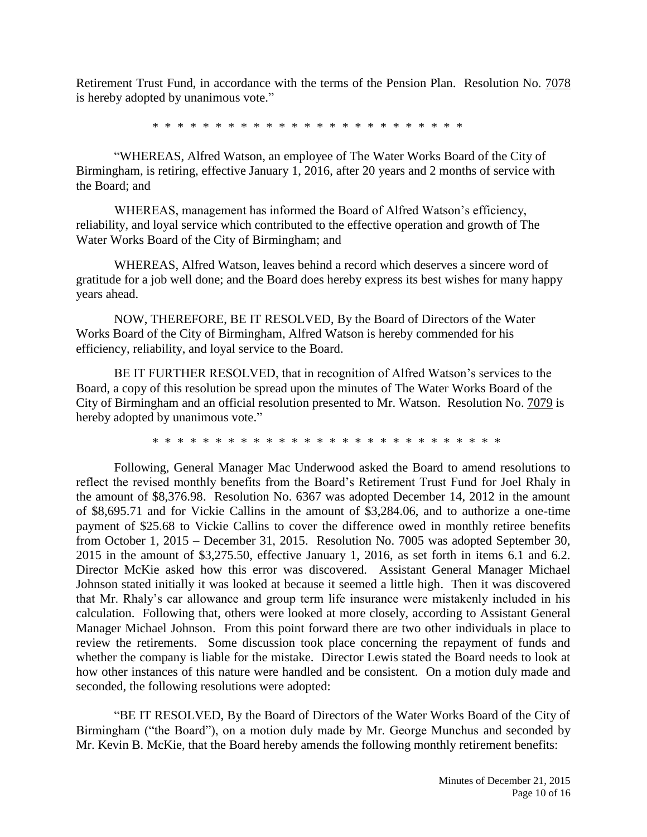Retirement Trust Fund, in accordance with the terms of the Pension Plan. Resolution No. 7078 is hereby adopted by unanimous vote."

\* \* \* \* \* \* \* \* \* \* \* \* \* \* \* \* \* \* \* \* \* \* \* \* \*

"WHEREAS, Alfred Watson, an employee of The Water Works Board of the City of Birmingham, is retiring, effective January 1, 2016, after 20 years and 2 months of service with the Board; and

WHEREAS, management has informed the Board of Alfred Watson's efficiency, reliability, and loyal service which contributed to the effective operation and growth of The Water Works Board of the City of Birmingham; and

WHEREAS, Alfred Watson, leaves behind a record which deserves a sincere word of gratitude for a job well done; and the Board does hereby express its best wishes for many happy years ahead.

NOW, THEREFORE, BE IT RESOLVED, By the Board of Directors of the Water Works Board of the City of Birmingham, Alfred Watson is hereby commended for his efficiency, reliability, and loyal service to the Board.

BE IT FURTHER RESOLVED, that in recognition of Alfred Watson's services to the Board, a copy of this resolution be spread upon the minutes of The Water Works Board of the City of Birmingham and an official resolution presented to Mr. Watson. Resolution No. 7079 is hereby adopted by unanimous vote."

\* \* \* \* \* \* \* \* \* \* \* \* \* \* \* \* \* \* \* \* \* \* \* \* \* \* \* \*

Following, General Manager Mac Underwood asked the Board to amend resolutions to reflect the revised monthly benefits from the Board's Retirement Trust Fund for Joel Rhaly in the amount of \$8,376.98. Resolution No. 6367 was adopted December 14, 2012 in the amount of \$8,695.71 and for Vickie Callins in the amount of \$3,284.06, and to authorize a one-time payment of \$25.68 to Vickie Callins to cover the difference owed in monthly retiree benefits from October 1, 2015 – December 31, 2015. Resolution No. 7005 was adopted September 30, 2015 in the amount of \$3,275.50, effective January 1, 2016, as set forth in items 6.1 and 6.2. Director McKie asked how this error was discovered. Assistant General Manager Michael Johnson stated initially it was looked at because it seemed a little high. Then it was discovered that Mr. Rhaly's car allowance and group term life insurance were mistakenly included in his calculation. Following that, others were looked at more closely, according to Assistant General Manager Michael Johnson. From this point forward there are two other individuals in place to review the retirements. Some discussion took place concerning the repayment of funds and whether the company is liable for the mistake. Director Lewis stated the Board needs to look at how other instances of this nature were handled and be consistent. On a motion duly made and seconded, the following resolutions were adopted:

"BE IT RESOLVED, By the Board of Directors of the Water Works Board of the City of Birmingham ("the Board"), on a motion duly made by Mr. George Munchus and seconded by Mr. Kevin B. McKie, that the Board hereby amends the following monthly retirement benefits: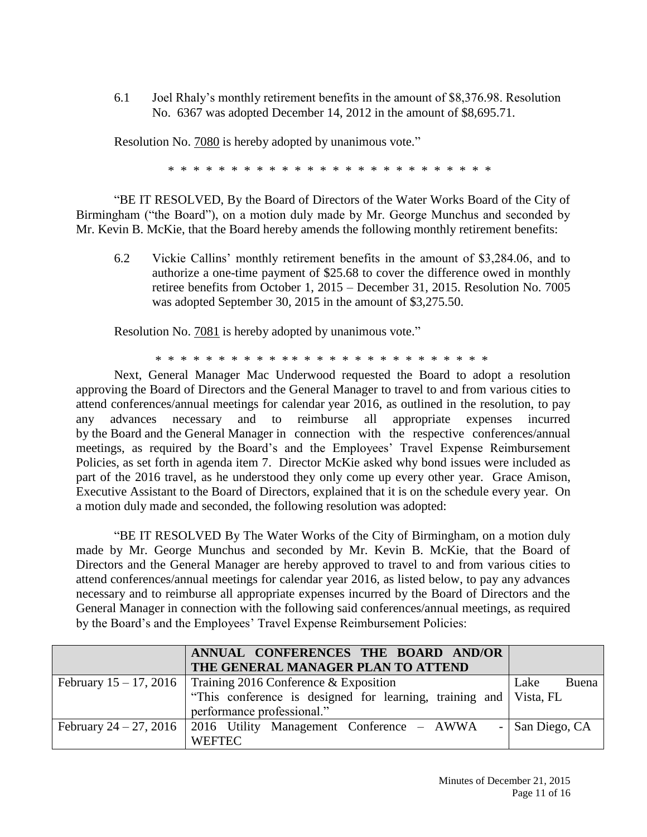6.1 Joel Rhaly's monthly retirement benefits in the amount of \$8,376.98. Resolution No. 6367 was adopted December 14, 2012 in the amount of \$8,695.71.

Resolution No. 7080 is hereby adopted by unanimous vote."

\* \* \* \* \* \* \* \* \* \* \* \* \* \* \* \* \* \* \* \* \* \* \* \* \* \*

"BE IT RESOLVED, By the Board of Directors of the Water Works Board of the City of Birmingham ("the Board"), on a motion duly made by Mr. George Munchus and seconded by Mr. Kevin B. McKie, that the Board hereby amends the following monthly retirement benefits:

6.2 Vickie Callins' monthly retirement benefits in the amount of \$3,284.06, and to authorize a one-time payment of \$25.68 to cover the difference owed in monthly retiree benefits from October 1, 2015 – December 31, 2015. Resolution No. 7005 was adopted September 30, 2015 in the amount of \$3,275.50.

Resolution No. **7081** is hereby adopted by unanimous vote."

\* \* \* \* \* \* \* \* \* \* \* \* \* \* \* \* \* \* \* \* \* \* \* \* \* \* \*

Next, General Manager Mac Underwood requested the Board to adopt a resolution approving the Board of Directors and the General Manager to travel to and from various cities to attend conferences/annual meetings for calendar year 2016, as outlined in the resolution, to pay any advances necessary and to reimburse all appropriate expenses incurred by the Board and the General Manager in connection with the respective conferences/annual meetings, as required by the Board's and the Employees' Travel Expense Reimbursement Policies, as set forth in agenda item 7. Director McKie asked why bond issues were included as part of the 2016 travel, as he understood they only come up every other year. Grace Amison, Executive Assistant to the Board of Directors, explained that it is on the schedule every year. On a motion duly made and seconded, the following resolution was adopted:

"BE IT RESOLVED By The Water Works of the City of Birmingham, on a motion duly made by Mr. George Munchus and seconded by Mr. Kevin B. McKie, that the Board of Directors and the General Manager are hereby approved to travel to and from various cities to attend conferences/annual meetings for calendar year 2016, as listed below, to pay any advances necessary and to reimburse all appropriate expenses incurred by the Board of Directors and the General Manager in connection with the following said conferences/annual meetings, as required by the Board's and the Employees' Travel Expense Reimbursement Policies:

|                           | ANNUAL CONFERENCES THE BOARD AND/OR                               |                 |
|---------------------------|-------------------------------------------------------------------|-----------------|
|                           | THE GENERAL MANAGER PLAN TO ATTEND                                |                 |
| February $15 - 17$ , 2016 | Training 2016 Conference & Exposition                             | Lake<br>Buena   |
|                           | "This conference is designed for learning, training and Vista, FL |                 |
|                           | performance professional."                                        |                 |
| February 24 – 27, 2016    | 2016 Utility Management Conference – AWWA                         | - San Diego, CA |
|                           | <b>WEFTEC</b>                                                     |                 |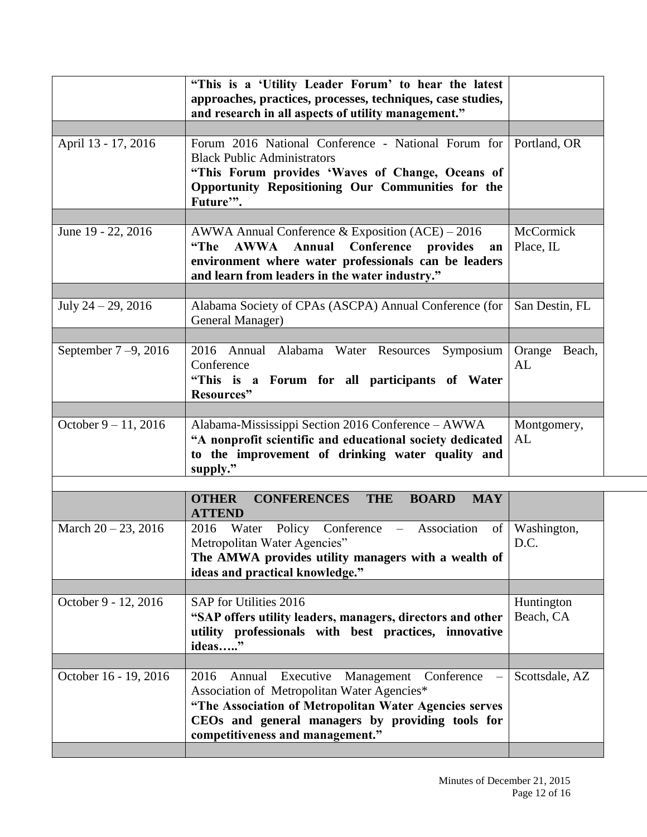|                         | "This is a 'Utility Leader Forum' to hear the latest<br>approaches, practices, processes, techniques, case studies,<br>and research in all aspects of utility management."                                                                               |                         |
|-------------------------|----------------------------------------------------------------------------------------------------------------------------------------------------------------------------------------------------------------------------------------------------------|-------------------------|
| April 13 - 17, 2016     | Forum 2016 National Conference - National Forum for<br><b>Black Public Administrators</b><br>"This Forum provides 'Waves of Change, Oceans of<br>Opportunity Repositioning Our Communities for the<br>Future".                                           | Portland, OR            |
| June 19 - 22, 2016      | AWWA Annual Conference & Exposition $(ACE) - 2016$<br><b>AWWA Annual</b><br>Conference provides<br>"The<br>an<br>environment where water professionals can be leaders<br>and learn from leaders in the water industry."                                  | McCormick<br>Place, IL  |
| July $24 - 29, 2016$    | Alabama Society of CPAs (ASCPA) Annual Conference (for<br>General Manager)                                                                                                                                                                               | San Destin, FL          |
| September $7-9$ , 2016  | 2016 Annual Alabama Water Resources Symposium<br>Conference<br>"This is a Forum for all participants of Water<br>Resources"                                                                                                                              | Orange Beach,<br>AL     |
| October $9 - 11$ , 2016 | Alabama-Mississippi Section 2016 Conference - AWWA<br>"A nonprofit scientific and educational society dedicated<br>to the improvement of drinking water quality and<br>supply."                                                                          | Montgomery,<br>AL       |
|                         | <b>CONFERENCES</b><br><b>OTHER</b><br><b>THE</b><br><b>BOARD</b><br><b>MAY</b><br><b>ATTEND</b>                                                                                                                                                          |                         |
| March $20 - 23$ , 2016  | 2016 Water Policy Conference –<br>Association<br>$\sigma$ f<br>Metropolitan Water Agencies"<br>The AMWA provides utility managers with a wealth of<br>ideas and practical knowledge."                                                                    | Washington,<br>D.C.     |
| October 9 - 12, 2016    | SAP for Utilities 2016<br>"SAP offers utility leaders, managers, directors and other<br>utility professionals with best practices, innovative<br>ideas"                                                                                                  | Huntington<br>Beach, CA |
| October 16 - 19, 2016   | Executive<br>Management<br>Conference<br>2016<br>Annual<br>Association of Metropolitan Water Agencies*<br>"The Association of Metropolitan Water Agencies serves<br>CEOs and general managers by providing tools for<br>competitiveness and management." | Scottsdale, AZ          |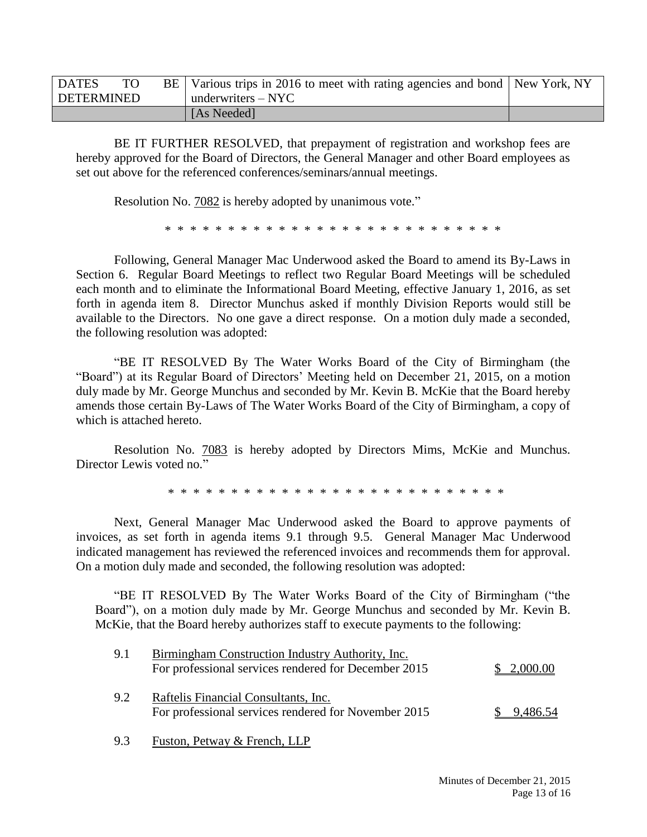| <b>DATES</b> | TO. | BE   Various trips in 2016 to meet with rating agencies and bond   New York, NY |  |
|--------------|-----|---------------------------------------------------------------------------------|--|
| DETERMINED   |     | underwriters $-$ NYC                                                            |  |
|              |     | [As Needed]                                                                     |  |

BE IT FURTHER RESOLVED, that prepayment of registration and workshop fees are hereby approved for the Board of Directors, the General Manager and other Board employees as set out above for the referenced conferences/seminars/annual meetings.

Resolution No. 7082 is hereby adopted by unanimous vote."

\* \* \* \* \* \* \* \* \* \* \* \* \* \* \* \* \* \* \* \* \* \* \* \* \* \* \*

Following, General Manager Mac Underwood asked the Board to amend its By-Laws in Section 6. Regular Board Meetings to reflect two Regular Board Meetings will be scheduled each month and to eliminate the Informational Board Meeting, effective January 1, 2016, as set forth in agenda item 8. Director Munchus asked if monthly Division Reports would still be available to the Directors. No one gave a direct response. On a motion duly made a seconded, the following resolution was adopted:

"BE IT RESOLVED By The Water Works Board of the City of Birmingham (the "Board") at its Regular Board of Directors' Meeting held on December 21, 2015, on a motion duly made by Mr. George Munchus and seconded by Mr. Kevin B. McKie that the Board hereby amends those certain By-Laws of The Water Works Board of the City of Birmingham, a copy of which is attached hereto.

Resolution No. 7083 is hereby adopted by Directors Mims, McKie and Munchus. Director Lewis voted no."

\* \* \* \* \* \* \* \* \* \* \* \* \* \* \* \* \* \* \* \* \* \* \* \* \* \* \*

Next, General Manager Mac Underwood asked the Board to approve payments of invoices, as set forth in agenda items 9.1 through 9.5. General Manager Mac Underwood indicated management has reviewed the referenced invoices and recommends them for approval. On a motion duly made and seconded, the following resolution was adopted:

"BE IT RESOLVED By The Water Works Board of the City of Birmingham ("the Board"), on a motion duly made by Mr. George Munchus and seconded by Mr. Kevin B. McKie, that the Board hereby authorizes staff to execute payments to the following:

| 9.1 | Birmingham Construction Industry Authority, Inc.<br>For professional services rendered for December 2015 | \$2,000.00 |
|-----|----------------------------------------------------------------------------------------------------------|------------|
| 9.2 | Raftelis Financial Consultants, Inc.<br>For professional services rendered for November 2015             | \$9,486.54 |

9.3 Fuston, Petway & French, LLP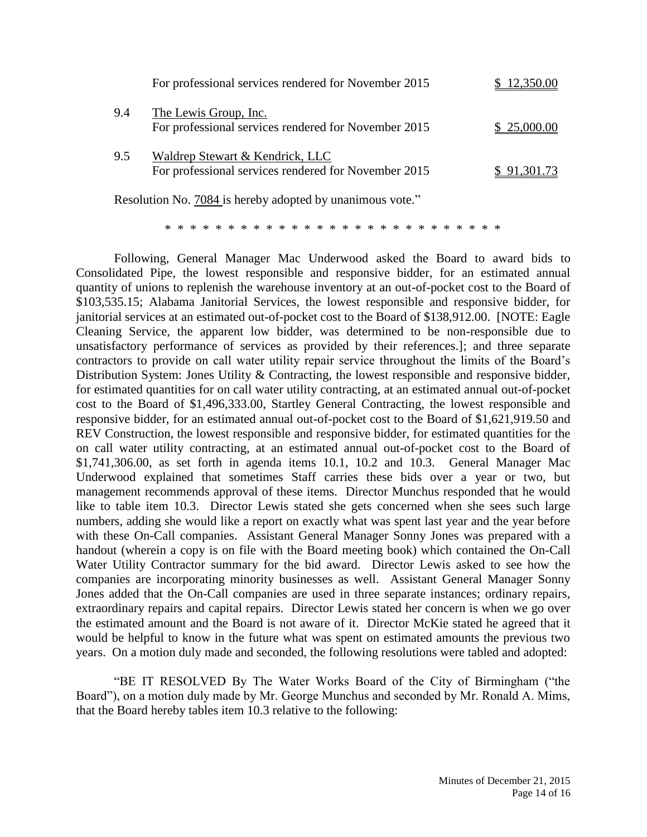|     | For professional services rendered for November 2015                                    | 12,350.00   |
|-----|-----------------------------------------------------------------------------------------|-------------|
| 9.4 | The Lewis Group, Inc.<br>For professional services rendered for November 2015           | \$25,000.00 |
| 9.5 | Waldrep Stewart & Kendrick, LLC<br>For professional services rendered for November 2015 | \$91,301.73 |

Resolution No. 7084 is hereby adopted by unanimous vote."

\* \* \* \* \* \* \* \* \* \* \* \* \* \* \* \* \* \* \* \* \* \* \* \* \* \* \*

Following, General Manager Mac Underwood asked the Board to award bids to Consolidated Pipe, the lowest responsible and responsive bidder, for an estimated annual quantity of unions to replenish the warehouse inventory at an out-of-pocket cost to the Board of \$103,535.15; Alabama Janitorial Services, the lowest responsible and responsive bidder, for janitorial services at an estimated out-of-pocket cost to the Board of \$138,912.00. [NOTE: Eagle Cleaning Service, the apparent low bidder, was determined to be non-responsible due to unsatisfactory performance of services as provided by their references.]; and three separate contractors to provide on call water utility repair service throughout the limits of the Board's Distribution System: Jones Utility & Contracting, the lowest responsible and responsive bidder, for estimated quantities for on call water utility contracting, at an estimated annual out-of-pocket cost to the Board of \$1,496,333.00, Startley General Contracting, the lowest responsible and responsive bidder, for an estimated annual out-of-pocket cost to the Board of \$1,621,919.50 and REV Construction, the lowest responsible and responsive bidder, for estimated quantities for the on call water utility contracting, at an estimated annual out-of-pocket cost to the Board of \$1,741,306.00, as set forth in agenda items 10.1, 10.2 and 10.3. General Manager Mac Underwood explained that sometimes Staff carries these bids over a year or two, but management recommends approval of these items. Director Munchus responded that he would like to table item 10.3. Director Lewis stated she gets concerned when she sees such large numbers, adding she would like a report on exactly what was spent last year and the year before with these On-Call companies. Assistant General Manager Sonny Jones was prepared with a handout (wherein a copy is on file with the Board meeting book) which contained the On-Call Water Utility Contractor summary for the bid award. Director Lewis asked to see how the companies are incorporating minority businesses as well. Assistant General Manager Sonny Jones added that the On-Call companies are used in three separate instances; ordinary repairs, extraordinary repairs and capital repairs. Director Lewis stated her concern is when we go over the estimated amount and the Board is not aware of it. Director McKie stated he agreed that it would be helpful to know in the future what was spent on estimated amounts the previous two years. On a motion duly made and seconded, the following resolutions were tabled and adopted:

"BE IT RESOLVED By The Water Works Board of the City of Birmingham ("the Board"), on a motion duly made by Mr. George Munchus and seconded by Mr. Ronald A. Mims, that the Board hereby tables item 10.3 relative to the following: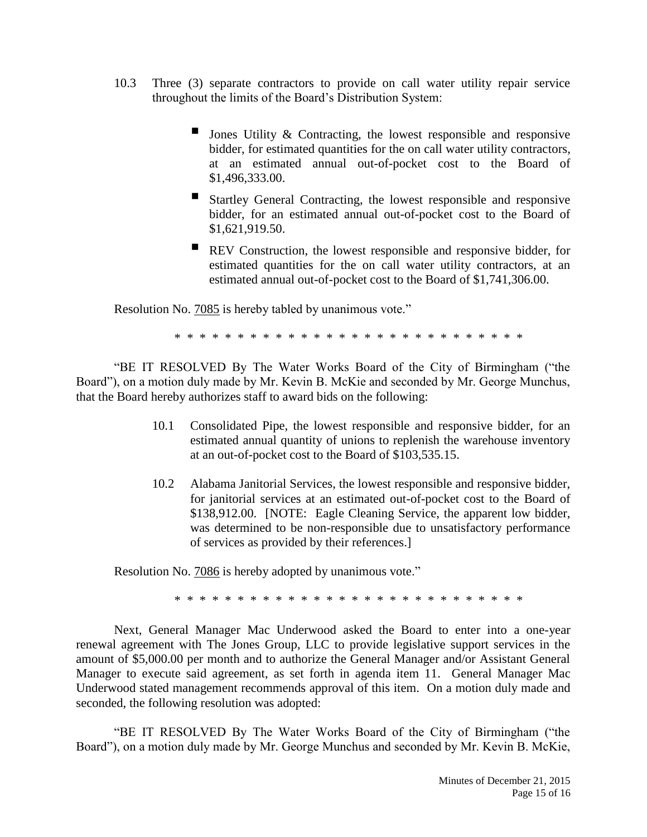- 10.3 Three (3) separate contractors to provide on call water utility repair service throughout the limits of the Board's Distribution System:
	- Jones Utility & Contracting, the lowest responsible and responsive bidder, for estimated quantities for the on call water utility contractors, at an estimated annual out-of-pocket cost to the Board of \$1,496,333.00.
	- Startley General Contracting, the lowest responsible and responsive bidder, for an estimated annual out-of-pocket cost to the Board of \$1,621,919.50.
	- **REV** Construction, the lowest responsible and responsive bidder, for estimated quantities for the on call water utility contractors, at an estimated annual out-of-pocket cost to the Board of \$1,741,306.00.

Resolution No. **7085** is hereby tabled by unanimous vote."

\* \* \* \* \* \* \* \* \* \* \* \* \* \* \* \* \* \* \* \* \* \* \* \* \* \* \* \*

"BE IT RESOLVED By The Water Works Board of the City of Birmingham ("the Board"), on a motion duly made by Mr. Kevin B. McKie and seconded by Mr. George Munchus, that the Board hereby authorizes staff to award bids on the following:

- 10.1 Consolidated Pipe, the lowest responsible and responsive bidder, for an estimated annual quantity of unions to replenish the warehouse inventory at an out-of-pocket cost to the Board of \$103,535.15.
- 10.2 Alabama Janitorial Services, the lowest responsible and responsive bidder, for janitorial services at an estimated out-of-pocket cost to the Board of \$138,912.00. [NOTE: Eagle Cleaning Service, the apparent low bidder, was determined to be non-responsible due to unsatisfactory performance of services as provided by their references.]

Resolution No. 7086 is hereby adopted by unanimous vote."

\* \* \* \* \* \* \* \* \* \* \* \* \* \* \* \* \* \* \* \* \* \* \* \* \* \* \* \*

Next, General Manager Mac Underwood asked the Board to enter into a one-year renewal agreement with The Jones Group, LLC to provide legislative support services in the amount of \$5,000.00 per month and to authorize the General Manager and/or Assistant General Manager to execute said agreement, as set forth in agenda item 11. General Manager Mac Underwood stated management recommends approval of this item. On a motion duly made and seconded, the following resolution was adopted:

"BE IT RESOLVED By The Water Works Board of the City of Birmingham ("the Board"), on a motion duly made by Mr. George Munchus and seconded by Mr. Kevin B. McKie,